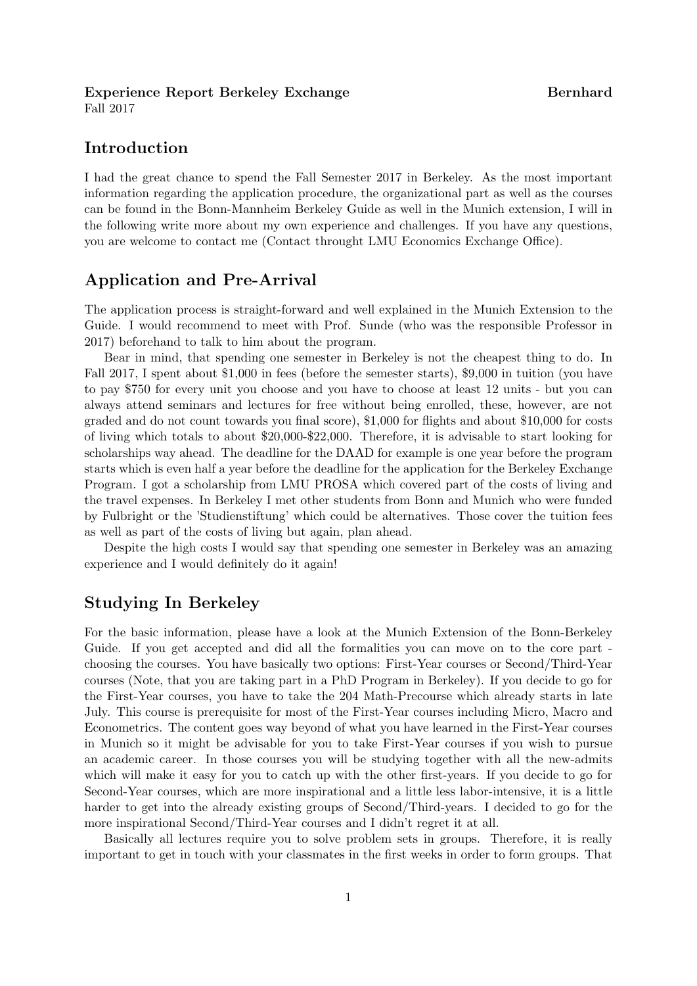#### Experience Report Berkeley Exchange Experience Bernhard

Fall 2017

# Introduction

I had the great chance to spend the Fall Semester 2017 in Berkeley. As the most important information regarding the application procedure, the organizational part as well as the courses can be found in the Bonn-Mannheim Berkeley Guide as well in the Munich extension, I will in the following write more about my own experience and challenges. If you have any questions, you are welcome to contact me (Contact throught LMU Economics Exchange Office).

## Application and Pre-Arrival

The application process is straight-forward and well explained in the Munich Extension to the Guide. I would recommend to meet with Prof. Sunde (who was the responsible Professor in 2017) beforehand to talk to him about the program.

Bear in mind, that spending one semester in Berkeley is not the cheapest thing to do. In Fall 2017, I spent about \$1,000 in fees (before the semester starts), \$9,000 in tuition (you have to pay \$750 for every unit you choose and you have to choose at least 12 units - but you can always attend seminars and lectures for free without being enrolled, these, however, are not graded and do not count towards you final score), \$1,000 for flights and about \$10,000 for costs of living which totals to about \$20,000-\$22,000. Therefore, it is advisable to start looking for scholarships way ahead. The deadline for the DAAD for example is one year before the program starts which is even half a year before the deadline for the application for the Berkeley Exchange Program. I got a scholarship from LMU PROSA which covered part of the costs of living and the travel expenses. In Berkeley I met other students from Bonn and Munich who were funded by Fulbright or the 'Studienstiftung' which could be alternatives. Those cover the tuition fees as well as part of the costs of living but again, plan ahead.

Despite the high costs I would say that spending one semester in Berkeley was an amazing experience and I would definitely do it again!

## Studying In Berkeley

For the basic information, please have a look at the Munich Extension of the Bonn-Berkeley Guide. If you get accepted and did all the formalities you can move on to the core part choosing the courses. You have basically two options: First-Year courses or Second/Third-Year courses (Note, that you are taking part in a PhD Program in Berkeley). If you decide to go for the First-Year courses, you have to take the 204 Math-Precourse which already starts in late July. This course is prerequisite for most of the First-Year courses including Micro, Macro and Econometrics. The content goes way beyond of what you have learned in the First-Year courses in Munich so it might be advisable for you to take First-Year courses if you wish to pursue an academic career. In those courses you will be studying together with all the new-admits which will make it easy for you to catch up with the other first-years. If you decide to go for Second-Year courses, which are more inspirational and a little less labor-intensive, it is a little harder to get into the already existing groups of Second/Third-years. I decided to go for the more inspirational Second/Third-Year courses and I didn't regret it at all.

Basically all lectures require you to solve problem sets in groups. Therefore, it is really important to get in touch with your classmates in the first weeks in order to form groups. That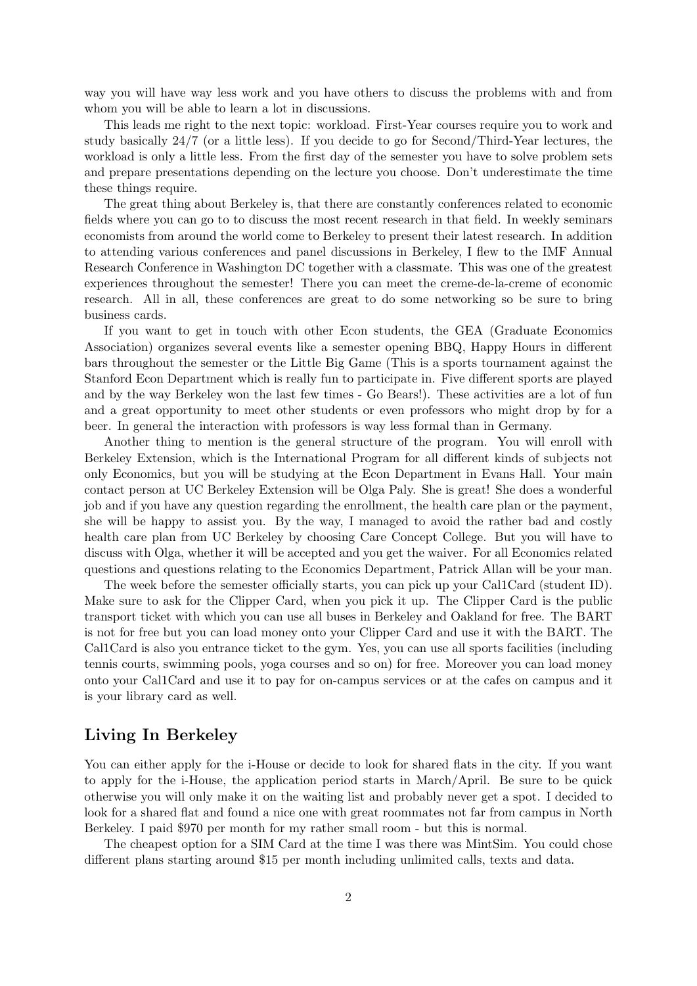way you will have way less work and you have others to discuss the problems with and from whom you will be able to learn a lot in discussions.

This leads me right to the next topic: workload. First-Year courses require you to work and study basically 24/7 (or a little less). If you decide to go for Second/Third-Year lectures, the workload is only a little less. From the first day of the semester you have to solve problem sets and prepare presentations depending on the lecture you choose. Don't underestimate the time these things require.

The great thing about Berkeley is, that there are constantly conferences related to economic fields where you can go to to discuss the most recent research in that field. In weekly seminars economists from around the world come to Berkeley to present their latest research. In addition to attending various conferences and panel discussions in Berkeley, I flew to the IMF Annual Research Conference in Washington DC together with a classmate. This was one of the greatest experiences throughout the semester! There you can meet the creme-de-la-creme of economic research. All in all, these conferences are great to do some networking so be sure to bring business cards.

If you want to get in touch with other Econ students, the GEA (Graduate Economics Association) organizes several events like a semester opening BBQ, Happy Hours in different bars throughout the semester or the Little Big Game (This is a sports tournament against the Stanford Econ Department which is really fun to participate in. Five different sports are played and by the way Berkeley won the last few times - Go Bears!). These activities are a lot of fun and a great opportunity to meet other students or even professors who might drop by for a beer. In general the interaction with professors is way less formal than in Germany.

Another thing to mention is the general structure of the program. You will enroll with Berkeley Extension, which is the International Program for all different kinds of subjects not only Economics, but you will be studying at the Econ Department in Evans Hall. Your main contact person at UC Berkeley Extension will be Olga Paly. She is great! She does a wonderful job and if you have any question regarding the enrollment, the health care plan or the payment, she will be happy to assist you. By the way, I managed to avoid the rather bad and costly health care plan from UC Berkeley by choosing Care Concept College. But you will have to discuss with Olga, whether it will be accepted and you get the waiver. For all Economics related questions and questions relating to the Economics Department, Patrick Allan will be your man.

The week before the semester officially starts, you can pick up your Cal1Card (student ID). Make sure to ask for the Clipper Card, when you pick it up. The Clipper Card is the public transport ticket with which you can use all buses in Berkeley and Oakland for free. The BART is not for free but you can load money onto your Clipper Card and use it with the BART. The Cal1Card is also you entrance ticket to the gym. Yes, you can use all sports facilities (including tennis courts, swimming pools, yoga courses and so on) for free. Moreover you can load money onto your Cal1Card and use it to pay for on-campus services or at the cafes on campus and it is your library card as well.

## Living In Berkeley

You can either apply for the i-House or decide to look for shared flats in the city. If you want to apply for the i-House, the application period starts in March/April. Be sure to be quick otherwise you will only make it on the waiting list and probably never get a spot. I decided to look for a shared flat and found a nice one with great roommates not far from campus in North Berkeley. I paid \$970 per month for my rather small room - but this is normal.

The cheapest option for a SIM Card at the time I was there was MintSim. You could chose different plans starting around \$15 per month including unlimited calls, texts and data.